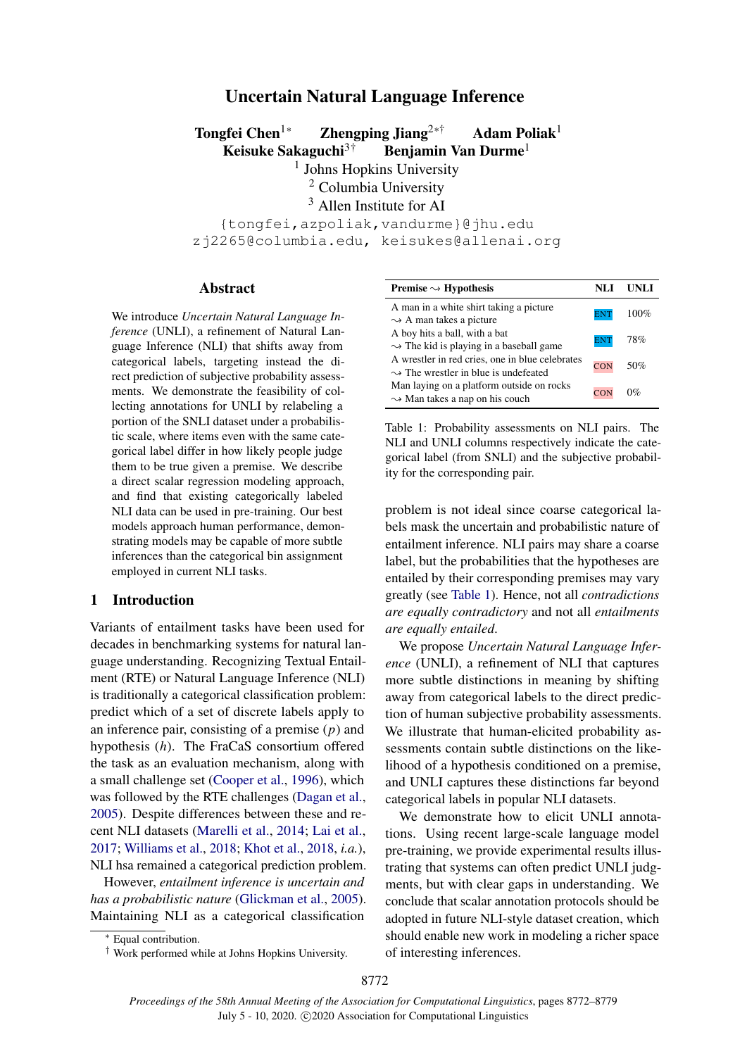# Uncertain Natural Language Inference

Tongfei Chen<sup>1∗</sup> Zhengping Jiang<sup>2∗†</sup> Adam Poliak<sup>1</sup> Keisuke Sakaguchi<sup>3†</sup> Benjamin Van Durme<sup>1</sup>

<sup>1</sup> Johns Hopkins University

<sup>2</sup> Columbia University

<sup>3</sup> Allen Institute for AI

{tongfei,azpoliak,vandurme}@jhu.edu zj2265@columbia.edu, keisukes@allenai.org

#### Abstract

We introduce *Uncertain Natural Language Inference* (UNLI), a refinement of Natural Language Inference (NLI) that shifts away from categorical labels, targeting instead the direct prediction of subjective probability assessments. We demonstrate the feasibility of collecting annotations for UNLI by relabeling a portion of the SNLI dataset under a probabilistic scale, where items even with the same categorical label differ in how likely people judge them to be true given a premise. We describe a direct scalar regression modeling approach, and find that existing categorically labeled NLI data can be used in pre-training. Our best models approach human performance, demonstrating models may be capable of more subtle inferences than the categorical bin assignment employed in current NLI tasks.

# 1 Introduction

Variants of entailment tasks have been used for decades in benchmarking systems for natural language understanding. Recognizing Textual Entailment (RTE) or Natural Language Inference (NLI) is traditionally a categorical classification problem: predict which of a set of discrete labels apply to an inference pair, consisting of a premise  $(p)$  and hypothesis (h). The FraCaS consortium offered the task as an evaluation mechanism, along with a small challenge set [\(Cooper et al.,](#page-4-0) [1996\)](#page-4-0), which was followed by the RTE challenges [\(Dagan et al.,](#page-4-1) [2005\)](#page-4-1). Despite differences between these and recent NLI datasets [\(Marelli et al.,](#page-5-0) [2014;](#page-5-0) [Lai et al.,](#page-5-1) [2017;](#page-5-1) [Williams et al.,](#page-6-0) [2018;](#page-6-0) [Khot et al.,](#page-5-2) [2018,](#page-5-2) *i.a.*), NLI hsa remained a categorical prediction problem.

However, *entailment inference is uncertain and has a probabilistic nature* [\(Glickman et al.,](#page-5-3) [2005\)](#page-5-3). Maintaining NLI as a categorical classification

<span id="page-0-0"></span>

| Premise $\sim$ Hypothesis                                                                           | NLI        | UNLI    |
|-----------------------------------------------------------------------------------------------------|------------|---------|
| A man in a white shirt taking a picture<br>$\sim$ A man takes a picture                             | <b>ENT</b> | $100\%$ |
| A boy hits a ball, with a bat<br>$\rightarrow$ The kid is playing in a baseball game                | <b>ENT</b> | 78%     |
| A wrestler in red cries, one in blue celebrates<br>$\rightarrow$ The wrestler in blue is undefeated | <b>CON</b> | 50%     |
| Man laying on a platform outside on rocks<br>$\sim$ Man takes a nap on his couch                    | CON        | $0\%$   |

Table 1: Probability assessments on NLI pairs. The NLI and UNLI columns respectively indicate the categorical label (from SNLI) and the subjective probability for the corresponding pair.

problem is not ideal since coarse categorical labels mask the uncertain and probabilistic nature of entailment inference. NLI pairs may share a coarse label, but the probabilities that the hypotheses are entailed by their corresponding premises may vary greatly (see [Table 1\)](#page-0-0). Hence, not all *contradictions are equally contradictory* and not all *entailments are equally entailed*.

We propose *Uncertain Natural Language Inference* (UNLI), a refinement of NLI that captures more subtle distinctions in meaning by shifting away from categorical labels to the direct prediction of human subjective probability assessments. We illustrate that human-elicited probability assessments contain subtle distinctions on the likelihood of a hypothesis conditioned on a premise, and UNLI captures these distinctions far beyond categorical labels in popular NLI datasets.

We demonstrate how to elicit UNLI annotations. Using recent large-scale language model pre-training, we provide experimental results illustrating that systems can often predict UNLI judgments, but with clear gaps in understanding. We conclude that scalar annotation protocols should be adopted in future NLI-style dataset creation, which should enable new work in modeling a richer space of interesting inferences.

<sup>∗</sup> Equal contribution.

<sup>†</sup> Work performed while at Johns Hopkins University.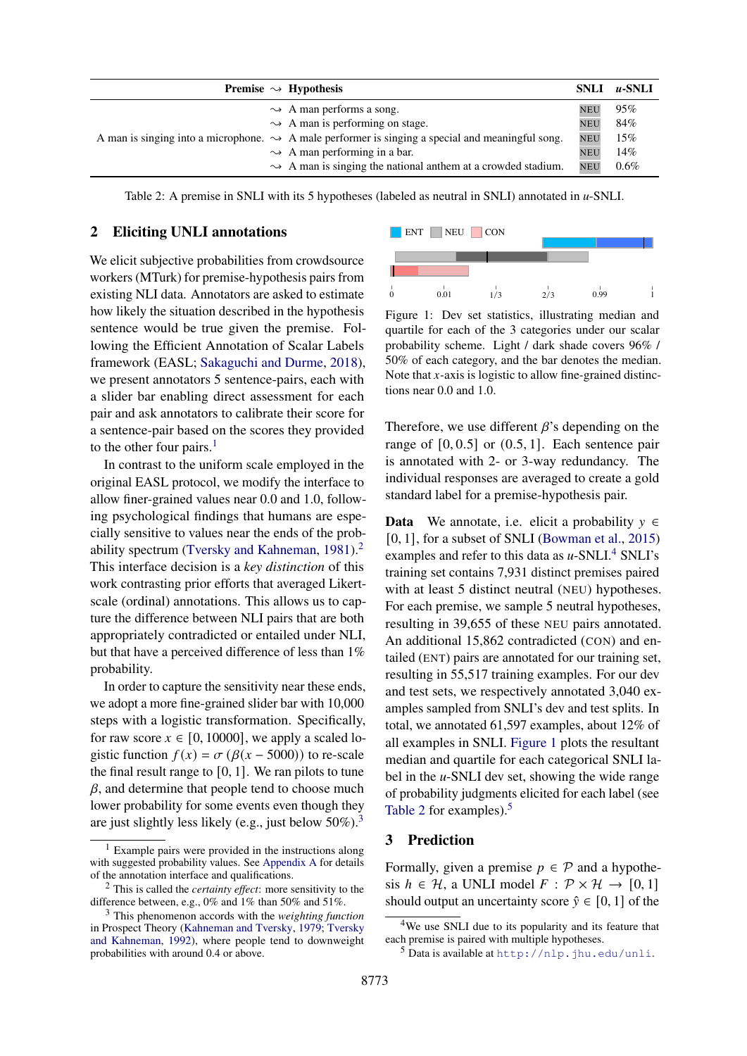<span id="page-1-5"></span>

|  | <b>Premise</b> $\rightsquigarrow$ Hypothesis                                                                 | <b>SNLI</b> | $u$ -SNLI |
|--|--------------------------------------------------------------------------------------------------------------|-------------|-----------|
|  | $\rightarrow$ A man performs a song.                                                                         | <b>NEU</b>  | 95%       |
|  | $\rightarrow$ A man is performing on stage.                                                                  | <b>NEU</b>  | 84%       |
|  | A man is singing into a microphone. $\rightarrow$ A male performer is singing a special and meaningful song. | <b>NEU</b>  | 15%       |
|  | $\rightarrow$ A man performing in a bar.                                                                     | <b>NEU</b>  | 14%       |
|  | $\rightarrow$ A man is singing the national anthem at a crowded stadium.                                     | <b>NEU</b>  | 0.6%      |

Table 2: A premise in SNLI with its 5 hypotheses (labeled as neutral in SNLI) annotated in *u*-SNLI.

## 2 Eliciting UNLI annotations

We elicit subjective probabilities from crowdsource workers (MTurk) for premise-hypothesis pairs from existing NLI data. Annotators are asked to estimate how likely the situation described in the hypothesis sentence would be true given the premise. Following the Efficient Annotation of Scalar Labels framework (EASL; [Sakaguchi and Durme,](#page-6-1) [2018\)](#page-6-1), we present annotators 5 sentence-pairs, each with a slider bar enabling direct assessment for each pair and ask annotators to calibrate their score for a sentence-pair based on the scores they provided to the other four pairs.<sup>[1](#page-1-0)</sup>

In contrast to the uniform scale employed in the original EASL protocol, we modify the interface to allow finer-grained values near 0.0 and 1.0, following psychological findings that humans are especially sensitive to values near the ends of the prob-ability spectrum [\(Tversky and Kahneman,](#page-6-2) [1981\)](#page-6-2).<sup>[2](#page-1-1)</sup> This interface decision is a *key distinction* of this work contrasting prior efforts that averaged Likertscale (ordinal) annotations. This allows us to capture the difference between NLI pairs that are both appropriately contradicted or entailed under NLI, but that have a perceived difference of less than  $1\%$ probability.

In order to capture the sensitivity near these ends, we adopt a more fine-grained slider bar with 10,000 steps with a logistic transformation. Specifically, for raw score  $x \in [0, 10000]$ , we apply a scaled logistic function  $f(x) = \sigma (\beta(x - 5000))$  to re-scale the final result range to  $[0, 1]$ . We ran pilots to tune  $\beta$ , and determine that people tend to choose much lower probability for some events even though they are just slightly less likely (e.g., just below  $50\%$ ).<sup>[3](#page-1-2)</sup>

<span id="page-1-4"></span>

Figure 1: Dev set statistics, illustrating median and quartile for each of the 3 categories under our scalar probability scheme. Light / dark shade covers 96% / 50% of each category, and the bar denotes the median. Note that  $x$ -axis is logistic to allow fine-grained distinctions near 0.0 and 1.0.

Therefore, we use different  $\beta$ 's depending on the range of  $[0, 0.5]$  or  $(0.5, 1]$ . Each sentence pair is annotated with 2- or 3-way redundancy. The individual responses are averaged to create a gold standard label for a premise-hypothesis pair.

**Data** We annotate, i.e. elicit a probability  $y \in \mathbb{R}$ [0, 1], for a subset of SNLI [\(Bowman et al.,](#page-4-2) [2015\)](#page-4-2) examples and refer to this data as *u*-SNLI.<sup>[4](#page-1-3)</sup> SNLI's training set contains 7,931 distinct premises paired with at least 5 distinct neutral (NEU) hypotheses. For each premise, we sample 5 neutral hypotheses, resulting in 39,655 of these NEU pairs annotated. An additional 15,862 contradicted (CON) and entailed (ENT) pairs are annotated for our training set, resulting in 55,517 training examples. For our dev and test sets, we respectively annotated 3,040 examples sampled from SNLI's dev and test splits. In total, we annotated 61,597 examples, about 12% of all examples in SNLI. [Figure 1](#page-1-4) plots the resultant median and quartile for each categorical SNLI label in the *u*-SNLI dev set, showing the wide range of probability judgments elicited for each label (see [Table 2](#page-1-5) for examples).<sup>[5](#page-1-6)</sup>

# 3 Prediction

Formally, given a premise  $p \in \mathcal{P}$  and a hypothesis  $h \in \mathcal{H}$ , a UNLI model  $F : \mathcal{P} \times \mathcal{H} \rightarrow [0, 1]$ should output an uncertainty score  $\hat{v} \in [0, 1]$  of the

<span id="page-1-0"></span><sup>1</sup> Example pairs were provided in the instructions along with suggested probability values. See [Appendix A](#page-7-0) for details of the annotation interface and qualifications.

<span id="page-1-1"></span><sup>2</sup> This is called the *certainty effect*: more sensitivity to the difference between, e.g., 0% and 1% than 50% and 51%.

<span id="page-1-2"></span><sup>3</sup> This phenomenon accords with the *weighting function* in Prospect Theory [\(Kahneman and Tversky,](#page-5-4) [1979;](#page-5-4) [Tversky](#page-6-3) [and Kahneman,](#page-6-3) [1992\)](#page-6-3), where people tend to downweight probabilities with around 0.4 or above.

<span id="page-1-3"></span><sup>&</sup>lt;sup>4</sup>We use SNLI due to its popularity and its feature that each premise is paired with multiple hypotheses.

<span id="page-1-6"></span><sup>5</sup> Data is available at <http://nlp.jhu.edu/unli>.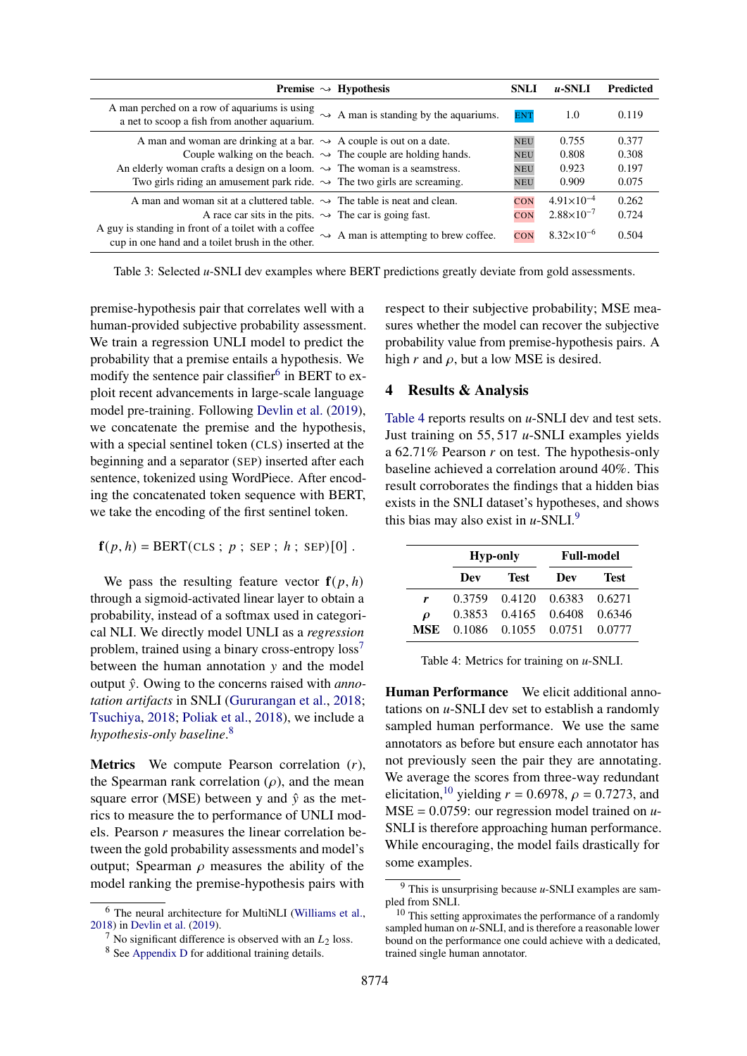<span id="page-2-6"></span>

| <b>Premise</b> $\rightarrow$ Hypothesis                                                                                                                       | <b>SNLI</b> | $\mu$ -SNLI           | <b>Predicted</b> |
|---------------------------------------------------------------------------------------------------------------------------------------------------------------|-------------|-----------------------|------------------|
| A man perched on a row of aquariums is using<br>$\rightarrow$ A man is standing by the aquariums.<br>a net to scoop a fish from another aquarium.             | <b>ENT</b>  | 1.0                   | 0.119            |
| A man and woman are drinking at a bar. $\rightarrow$ A couple is out on a date.                                                                               | <b>NEU</b>  | 0.755                 | 0.377            |
| Couple walking on the beach. $\rightarrow$ The couple are holding hands.                                                                                      | <b>NEU</b>  | 0.808                 | 0.308            |
| An elderly woman crafts a design on a loom. $\rightarrow$ The woman is a seamstress.                                                                          | <b>NEU</b>  | 0.923                 | 0.197            |
| Two girls riding an amusement park ride. $\rightarrow$ The two girls are screaming.                                                                           | <b>NEU</b>  | 0.909                 | 0.075            |
| A man and woman sit at a cluttered table. $\rightarrow$ The table is neat and clean.                                                                          | <b>CON</b>  | $4.91\times10^{-4}$   | 0.262            |
| A race car sits in the pits. $\rightarrow$ The car is going fast.                                                                                             | CON         | $2.88 \times 10^{-7}$ | 0.724            |
| A guy is standing in front of a toilet with a coffee<br>$\rightarrow$ A man is attempting to brew coffee.<br>cup in one hand and a toilet brush in the other. | <b>CON</b>  | $8.32\times10^{-6}$   | 0.504            |

Table 3: Selected *u*-SNLI dev examples where BERT predictions greatly deviate from gold assessments.

premise-hypothesis pair that correlates well with a human-provided subjective probability assessment. We train a regression UNLI model to predict the probability that a premise entails a hypothesis. We modify the sentence pair classifier<sup>[6](#page-2-0)</sup> in BERT to exploit recent advancements in large-scale language model pre-training. Following [Devlin et al.](#page-5-5) [\(2019\)](#page-5-5), we concatenate the premise and the hypothesis, with a special sentinel token (CLS) inserted at the beginning and a separator (SEP) inserted after each sentence, tokenized using WordPiece. After encoding the concatenated token sequence with BERT, we take the encoding of the first sentinel token.

$$
\mathbf{f}(p,h) = \text{BERT}(CLS ; p ; SEP ; h ; SEP)[0].
$$

We pass the resulting feature vector  $f(p, h)$ through a sigmoid-activated linear layer to obtain a probability, instead of a softmax used in categorical NLI. We directly model UNLI as a *regression* problem, trained using a binary cross-entropy  $\cos^{-1}$ between the human annotation  $y$  and the model output  $\hat{y}$ . Owing to the concerns raised with *annotation artifacts* in SNLI [\(Gururangan et al.,](#page-5-6) [2018;](#page-5-6) [Tsuchiya,](#page-6-4) [2018;](#page-6-4) [Poliak et al.,](#page-5-7) [2018\)](#page-5-7), we include a *hypothesis-only baseline*. [8](#page-2-2)

**Metrics** We compute Pearson correlation  $(r)$ , the Spearman rank correlation  $(\rho)$ , and the mean square error (MSE) between y and  $\hat{y}$  as the metrics to measure the to performance of UNLI models. Pearson  $r$  measures the linear correlation between the gold probability assessments and model's output; Spearman  $\rho$  measures the ability of the model ranking the premise-hypothesis pairs with respect to their subjective probability; MSE measures whether the model can recover the subjective probability value from premise-hypothesis pairs. A high  $r$  and  $\rho$ , but a low MSE is desired.

## 4 Results & Analysis

[Table 4](#page-2-3) reports results on *u*-SNLI dev and test sets. Just training on 55, 517 *u*-SNLI examples yields a 62.71% Pearson  $r$  on test. The hypothesis-only baseline achieved a correlation around 40%. This result corroborates the findings that a hidden bias exists in the SNLI dataset's hypotheses, and shows this bias may also exist in  $u$ -SNLI.<sup>[9](#page-2-4)</sup>

<span id="page-2-3"></span>

|        | <b>Hyp-only</b> |                      | <b>Full-model</b> |             |  |
|--------|-----------------|----------------------|-------------------|-------------|--|
|        | Dev             | <b>Test</b>          | Dev               | <b>Test</b> |  |
| r      | 0.3759          | 0.4120 0.6383        |                   | 0.6271      |  |
| $\rho$ | 0.3853          | 0.4165 0.6408        |                   | 0.6346      |  |
| MSE    |                 | 0.1086 0.1055 0.0751 |                   | 0.0777      |  |

Table 4: Metrics for training on *u*-SNLI.

Human Performance We elicit additional annotations on *u*-SNLI dev set to establish a randomly sampled human performance. We use the same annotators as before but ensure each annotator has not previously seen the pair they are annotating. We average the scores from three-way redundant elicitation,<sup>[10](#page-2-5)</sup> yielding  $r = 0.6978$ ,  $\rho = 0.7273$ , and MSE = 0.0759: our regression model trained on *u*-SNLI is therefore approaching human performance. While encouraging, the model fails drastically for some examples.

<span id="page-2-0"></span><sup>6</sup> The neural architecture for MultiNLI [\(Williams et al.,](#page-6-0) [2018\)](#page-6-0) in [Devlin et al.](#page-5-5) [\(2019\)](#page-5-5).

<span id="page-2-1"></span><sup>&</sup>lt;sup>7</sup> No significant difference is observed with an  $L_2$  loss.

<span id="page-2-2"></span><sup>8</sup> See [Appendix D](#page-7-1) for additional training details.

<span id="page-2-4"></span><sup>9</sup> This is unsurprising because *u*-SNLI examples are sampled from SNLI.

<span id="page-2-5"></span><sup>&</sup>lt;sup>10</sup> This setting approximates the performance of a randomly sampled human on *u*-SNLI, and is therefore a reasonable lower bound on the performance one could achieve with a dedicated, trained single human annotator.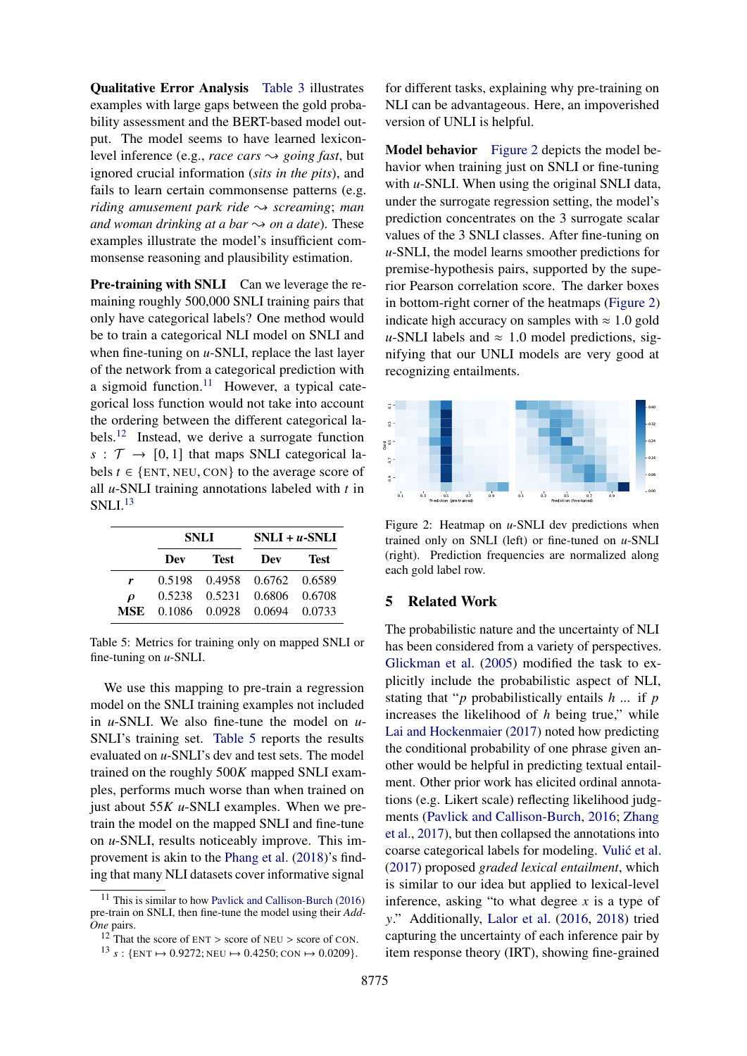Qualitative Error Analysis [Table 3](#page-2-6) illustrates examples with large gaps between the gold probability assessment and the BERT-based model output. The model seems to have learned lexiconlevel inference (e.g., *race cars*  $\sim$  *going fast*, but ignored crucial information (*sits in the pits*), and fails to learn certain commonsense patterns (e.g. *riding amusement park ride*  $\rightarrow$  *screaming*; *man and woman drinking at a bar*  $\rightarrow$  *on a date*). These examples illustrate the model's insufficient commonsense reasoning and plausibility estimation.

Pre-training with SNLI Can we leverage the remaining roughly 500,000 SNLI training pairs that only have categorical labels? One method would be to train a categorical NLI model on SNLI and when fine-tuning on *u*-SNLI, replace the last layer of the network from a categorical prediction with a sigmoid function.<sup>[11](#page-3-0)</sup> However, a typical categorical loss function would not take into account the ordering between the different categorical labels.[12](#page-3-1) Instead, we derive a surrogate function  $s : \mathcal{T} \to [0, 1]$  that maps SNLI categorical labels  $t \in \{ENT, NEU, CON\}$  to the average score of all  $u$ -SNLI training annotations labeled with  $t$  in  $SNLI.<sup>13</sup>$  $SNLI.<sup>13</sup>$  $SNLI.<sup>13</sup>$ 

<span id="page-3-3"></span>

|                     | SNLI |             | $SNLI + u-SNLI$             |      |  |
|---------------------|------|-------------|-----------------------------|------|--|
|                     | Dev  | <b>Test</b> | Dev                         | Test |  |
| r                   |      |             | 0.5198 0.4958 0.6762 0.6589 |      |  |
| $\boldsymbol{\rho}$ |      |             | 0.5238 0.5231 0.6806 0.6708 |      |  |
| MSE.                |      |             | 0.1086 0.0928 0.0694 0.0733 |      |  |

Table 5: Metrics for training only on mapped SNLI or fine-tuning on *u*-SNLI.

We use this mapping to pre-train a regression model on the SNLI training examples not included in *u*-SNLI. We also fine-tune the model on *u*-SNLI's training set. [Table 5](#page-3-3) reports the results evaluated on *u*-SNLI's dev and test sets. The model trained on the roughly  $500K$  mapped SNLI examples, performs much worse than when trained on just about 55K *u*-SNLI examples. When we pretrain the model on the mapped SNLI and fine-tune on *u*-SNLI, results noticeably improve. This improvement is akin to the [Phang et al.](#page-5-8) [\(2018\)](#page-5-8)'s finding that many NLI datasets cover informative signal

for different tasks, explaining why pre-training on NLI can be advantageous. Here, an impoverished version of UNLI is helpful.

Model behavior [Figure 2](#page-3-4) depicts the model behavior when training just on SNLI or fine-tuning with *u*-SNLI. When using the original SNLI data, under the surrogate regression setting, the model's prediction concentrates on the 3 surrogate scalar values of the 3 SNLI classes. After fine-tuning on *u*-SNLI, the model learns smoother predictions for premise-hypothesis pairs, supported by the superior Pearson correlation score. The darker boxes in bottom-right corner of the heatmaps [\(Figure 2\)](#page-3-4) indicate high accuracy on samples with  $\approx 1.0$  gold *u*-SNLI labels and  $\approx 1.0$  model predictions, signifying that our UNLI models are very good at recognizing entailments.

<span id="page-3-4"></span>

Figure 2: Heatmap on *u*-SNLI dev predictions when trained only on SNLI (left) or fine-tuned on *u*-SNLI (right). Prediction frequencies are normalized along each gold label row.

#### 5 Related Work

The probabilistic nature and the uncertainty of NLI has been considered from a variety of perspectives. [Glickman et al.](#page-5-3) [\(2005\)](#page-5-3) modified the task to explicitly include the probabilistic aspect of NLI, stating that " $p$  probabilistically entails  $h$  ... if  $p$ increases the likelihood of  $h$  being true," while [Lai and Hockenmaier](#page-5-10) [\(2017\)](#page-5-10) noted how predicting the conditional probability of one phrase given another would be helpful in predicting textual entailment. Other prior work has elicited ordinal annotations (e.g. Likert scale) reflecting likelihood judgments [\(Pavlick and Callison-Burch,](#page-5-9) [2016;](#page-5-9) [Zhang](#page-6-5) [et al.,](#page-6-5) [2017\)](#page-6-5), but then collapsed the annotations into coarse categorical labels for modeling. Vulić et al. [\(2017\)](#page-6-6) proposed *graded lexical entailment*, which is similar to our idea but applied to lexical-level inference, asking "to what degree  $x$  is a type of y." Additionally, [Lalor et al.](#page-5-11) [\(2016,](#page-5-11) [2018\)](#page-5-12) tried capturing the uncertainty of each inference pair by item response theory (IRT), showing fine-grained

<span id="page-3-0"></span><sup>&</sup>lt;sup>11</sup> This is similar to how [Pavlick and Callison-Burch](#page-5-9) [\(2016\)](#page-5-9) pre-train on SNLI, then fine-tune the model using their *Add-One* pairs.

<span id="page-3-1"></span> $12$ <sup>12</sup> That the score of ENT > score of NEU > score of CON.

<span id="page-3-2"></span><sup>&</sup>lt;sup>13</sup> *s* : {ENT  $\mapsto$  0.9272; NEU  $\mapsto$  0.4250; CON  $\mapsto$  0.0209}.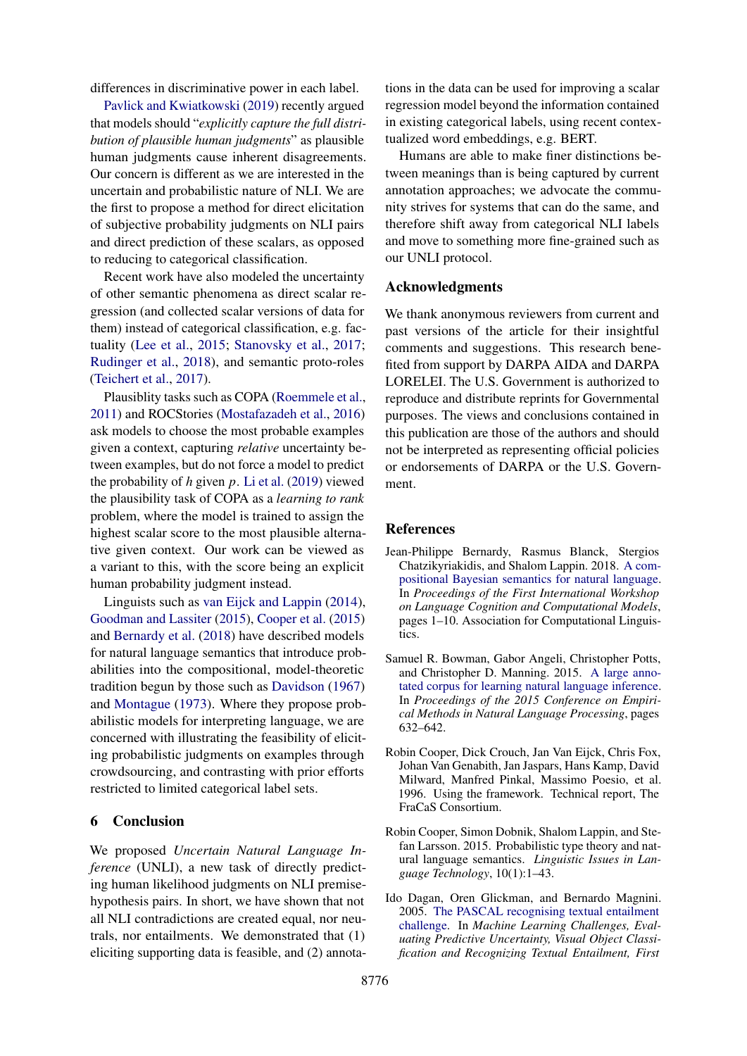differences in discriminative power in each label.

[Pavlick and Kwiatkowski](#page-5-13) [\(2019\)](#page-5-13) recently argued that models should "*explicitly capture the full distribution of plausible human judgments*" as plausible human judgments cause inherent disagreements. Our concern is different as we are interested in the uncertain and probabilistic nature of NLI. We are the first to propose a method for direct elicitation of subjective probability judgments on NLI pairs and direct prediction of these scalars, as opposed to reducing to categorical classification.

Recent work have also modeled the uncertainty of other semantic phenomena as direct scalar regression (and collected scalar versions of data for them) instead of categorical classification, e.g. factuality [\(Lee et al.,](#page-5-14) [2015;](#page-5-14) [Stanovsky et al.,](#page-6-7) [2017;](#page-6-7) [Rudinger et al.,](#page-6-8) [2018\)](#page-6-8), and semantic proto-roles [\(Teichert et al.,](#page-6-9) [2017\)](#page-6-9).

Plausiblity tasks such as COPA [\(Roemmele et al.,](#page-6-10) [2011\)](#page-6-10) and ROCStories [\(Mostafazadeh et al.,](#page-5-15) [2016\)](#page-5-15) ask models to choose the most probable examples given a context, capturing *relative* uncertainty between examples, but do not force a model to predict the probability of  $h$  given  $p$ . [Li et al.](#page-5-16) [\(2019\)](#page-5-16) viewed the plausibility task of COPA as a *learning to rank* problem, where the model is trained to assign the highest scalar score to the most plausible alternative given context. Our work can be viewed as a variant to this, with the score being an explicit human probability judgment instead.

Linguists such as [van Eijck and Lappin](#page-5-17) [\(2014\)](#page-5-17), [Goodman and Lassiter](#page-5-18) [\(2015\)](#page-5-18), [Cooper et al.](#page-4-3) [\(2015\)](#page-4-3) and [Bernardy et al.](#page-4-4) [\(2018\)](#page-4-4) have described models for natural language semantics that introduce probabilities into the compositional, model-theoretic tradition begun by those such as [Davidson](#page-5-19) [\(1967\)](#page-5-19) and [Montague](#page-5-20) [\(1973\)](#page-5-20). Where they propose probabilistic models for interpreting language, we are concerned with illustrating the feasibility of eliciting probabilistic judgments on examples through crowdsourcing, and contrasting with prior efforts restricted to limited categorical label sets.

# 6 Conclusion

We proposed *Uncertain Natural Language Inference* (UNLI), a new task of directly predicting human likelihood judgments on NLI premisehypothesis pairs. In short, we have shown that not all NLI contradictions are created equal, nor neutrals, nor entailments. We demonstrated that (1) eliciting supporting data is feasible, and (2) annota-

tions in the data can be used for improving a scalar regression model beyond the information contained in existing categorical labels, using recent contextualized word embeddings, e.g. BERT.

Humans are able to make finer distinctions between meanings than is being captured by current annotation approaches; we advocate the community strives for systems that can do the same, and therefore shift away from categorical NLI labels and move to something more fine-grained such as our UNLI protocol.

### Acknowledgments

We thank anonymous reviewers from current and past versions of the article for their insightful comments and suggestions. This research benefited from support by DARPA AIDA and DARPA LORELEI. The U.S. Government is authorized to reproduce and distribute reprints for Governmental purposes. The views and conclusions contained in this publication are those of the authors and should not be interpreted as representing official policies or endorsements of DARPA or the U.S. Government.

## References

- <span id="page-4-4"></span>Jean-Philippe Bernardy, Rasmus Blanck, Stergios Chatzikyriakidis, and Shalom Lappin. 2018. [A com](https://www.aclweb.org/anthology/W18-4101)[positional Bayesian semantics for natural language.](https://www.aclweb.org/anthology/W18-4101) In *Proceedings of the First International Workshop on Language Cognition and Computational Models*, pages 1–10. Association for Computational Linguistics.
- <span id="page-4-2"></span>Samuel R. Bowman, Gabor Angeli, Christopher Potts, and Christopher D. Manning. 2015. [A large anno](https://doi.org/10.18653/v1/d15-1075)[tated corpus for learning natural language inference.](https://doi.org/10.18653/v1/d15-1075) In *Proceedings of the 2015 Conference on Empirical Methods in Natural Language Processing*, pages 632–642.
- <span id="page-4-0"></span>Robin Cooper, Dick Crouch, Jan Van Eijck, Chris Fox, Johan Van Genabith, Jan Jaspars, Hans Kamp, David Milward, Manfred Pinkal, Massimo Poesio, et al. 1996. Using the framework. Technical report, The FraCaS Consortium.
- <span id="page-4-3"></span>Robin Cooper, Simon Dobnik, Shalom Lappin, and Stefan Larsson. 2015. Probabilistic type theory and natural language semantics. *Linguistic Issues in Language Technology*, 10(1):1–43.
- <span id="page-4-1"></span>Ido Dagan, Oren Glickman, and Bernardo Magnini. 2005. [The PASCAL recognising textual entailment](https://doi.org/10.1007/11736790_9) [challenge.](https://doi.org/10.1007/11736790_9) In *Machine Learning Challenges, Evaluating Predictive Uncertainty, Visual Object Classification and Recognizing Textual Entailment, First*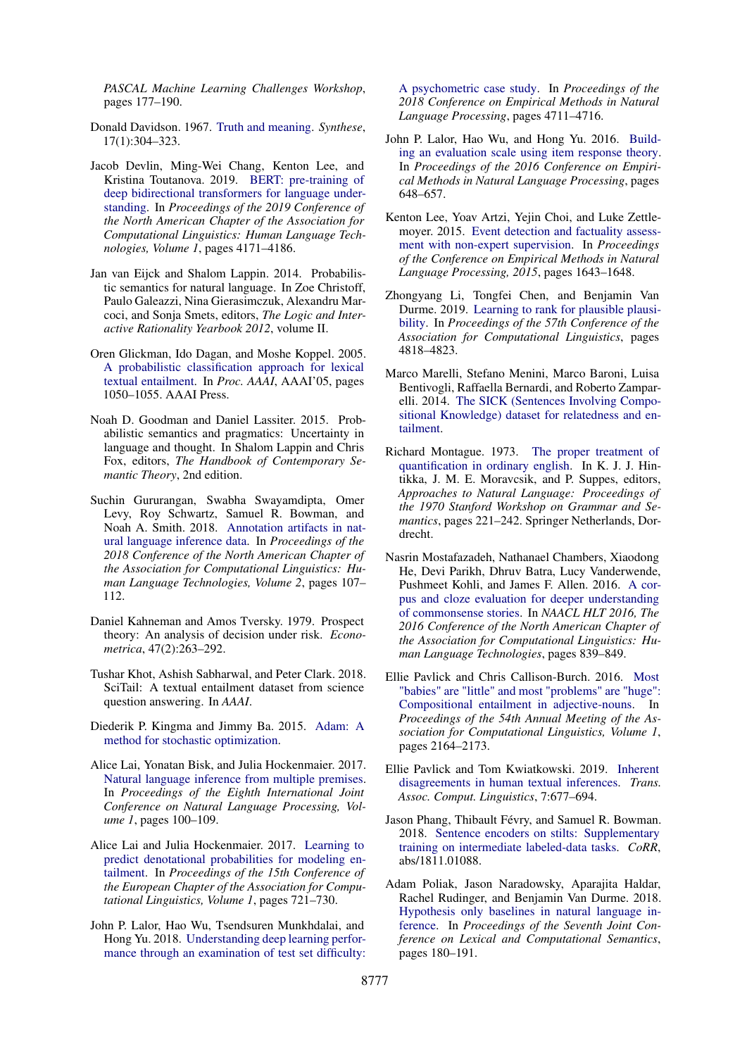*PASCAL Machine Learning Challenges Workshop*, pages 177–190.

- <span id="page-5-19"></span>Donald Davidson. 1967. [Truth and meaning.](https://doi.org/10.1007/BF00485035) *Synthese*, 17(1):304–323.
- <span id="page-5-5"></span>Jacob Devlin, Ming-Wei Chang, Kenton Lee, and Kristina Toutanova. 2019. [BERT: pre-training of](https://doi.org/10.18653/v1/n19-1423) [deep bidirectional transformers for language under](https://doi.org/10.18653/v1/n19-1423)[standing.](https://doi.org/10.18653/v1/n19-1423) In *Proceedings of the 2019 Conference of the North American Chapter of the Association for Computational Linguistics: Human Language Technologies, Volume 1*, pages 4171–4186.
- <span id="page-5-17"></span>Jan van Eijck and Shalom Lappin. 2014. Probabilistic semantics for natural language. In Zoe Christoff, Paulo Galeazzi, Nina Gierasimczuk, Alexandru Marcoci, and Sonja Smets, editors, *The Logic and Interactive Rationality Yearbook 2012*, volume II.
- <span id="page-5-3"></span>Oren Glickman, Ido Dagan, and Moshe Koppel. 2005. [A probabilistic classification approach for lexical](http://dl.acm.org/citation.cfm?id=1619499.1619502) [textual entailment.](http://dl.acm.org/citation.cfm?id=1619499.1619502) In *Proc. AAAI*, AAAI'05, pages 1050–1055. AAAI Press.
- <span id="page-5-18"></span>Noah D. Goodman and Daniel Lassiter. 2015. Probabilistic semantics and pragmatics: Uncertainty in language and thought. In Shalom Lappin and Chris Fox, editors, *The Handbook of Contemporary Semantic Theory*, 2nd edition.
- <span id="page-5-6"></span>Suchin Gururangan, Swabha Swayamdipta, Omer Levy, Roy Schwartz, Samuel R. Bowman, and Noah A. Smith. 2018. [Annotation artifacts in nat](https://doi.org/10.18653/v1/n18-2017)[ural language inference data.](https://doi.org/10.18653/v1/n18-2017) In *Proceedings of the 2018 Conference of the North American Chapter of the Association for Computational Linguistics: Human Language Technologies, Volume 2*, pages 107– 112.
- <span id="page-5-4"></span>Daniel Kahneman and Amos Tversky. 1979. Prospect theory: An analysis of decision under risk. *Econometrica*, 47(2):263–292.
- <span id="page-5-2"></span>Tushar Khot, Ashish Sabharwal, and Peter Clark. 2018. SciTail: A textual entailment dataset from science question answering. In *AAAI*.
- <span id="page-5-21"></span>Diederik P. Kingma and Jimmy Ba. 2015. [Adam: A](http://arxiv.org/abs/1412.6980) [method for stochastic optimization.](http://arxiv.org/abs/1412.6980)
- <span id="page-5-1"></span>Alice Lai, Yonatan Bisk, and Julia Hockenmaier. 2017. [Natural language inference from multiple premises.](https://www.aclweb.org/anthology/I17-1011/) In *Proceedings of the Eighth International Joint Conference on Natural Language Processing, Volume 1*, pages 100–109.
- <span id="page-5-10"></span>Alice Lai and Julia Hockenmaier. 2017. [Learning to](https://doi.org/10.18653/v1/e17-1068) [predict denotational probabilities for modeling en](https://doi.org/10.18653/v1/e17-1068)[tailment.](https://doi.org/10.18653/v1/e17-1068) In *Proceedings of the 15th Conference of the European Chapter of the Association for Computational Linguistics, Volume 1*, pages 721–730.
- <span id="page-5-12"></span>John P. Lalor, Hao Wu, Tsendsuren Munkhdalai, and Hong Yu. 2018. [Understanding deep learning perfor](https://doi.org/10.18653/v1/d18-1500)[mance through an examination of test set difficulty:](https://doi.org/10.18653/v1/d18-1500)

[A psychometric case study.](https://doi.org/10.18653/v1/d18-1500) In *Proceedings of the 2018 Conference on Empirical Methods in Natural Language Processing*, pages 4711–4716.

- <span id="page-5-11"></span>John P. Lalor, Hao Wu, and Hong Yu. 2016. [Build](https://doi.org/10.18653/v1/d16-1062)[ing an evaluation scale using item response theory.](https://doi.org/10.18653/v1/d16-1062) In *Proceedings of the 2016 Conference on Empirical Methods in Natural Language Processing*, pages 648–657.
- <span id="page-5-14"></span>Kenton Lee, Yoav Artzi, Yejin Choi, and Luke Zettlemoyer. 2015. [Event detection and factuality assess](https://doi.org/10.18653/v1/d15-1189)[ment with non-expert supervision.](https://doi.org/10.18653/v1/d15-1189) In *Proceedings of the Conference on Empirical Methods in Natural Language Processing, 2015*, pages 1643–1648.
- <span id="page-5-16"></span>Zhongyang Li, Tongfei Chen, and Benjamin Van Durme. 2019. [Learning to rank for plausible plausi](https://doi.org/10.18653/v1/p19-1475)[bility.](https://doi.org/10.18653/v1/p19-1475) In *Proceedings of the 57th Conference of the Association for Computational Linguistics*, pages 4818–4823.
- <span id="page-5-0"></span>Marco Marelli, Stefano Menini, Marco Baroni, Luisa Bentivogli, Raffaella Bernardi, and Roberto Zamparelli. 2014. [The SICK \(Sentences Involving Compo](https://doi.org/10.5281/zenodo.2787612)[sitional Knowledge\) dataset for relatedness and en](https://doi.org/10.5281/zenodo.2787612)[tailment.](https://doi.org/10.5281/zenodo.2787612)
- <span id="page-5-20"></span>Richard Montague. 1973. [The proper treatment of](https://doi.org/10.1007/978-94-010-2506-5_10) [quantification in ordinary english.](https://doi.org/10.1007/978-94-010-2506-5_10) In K. J. J. Hintikka, J. M. E. Moravcsik, and P. Suppes, editors, *Approaches to Natural Language: Proceedings of the 1970 Stanford Workshop on Grammar and Semantics*, pages 221–242. Springer Netherlands, Dordrecht.
- <span id="page-5-15"></span>Nasrin Mostafazadeh, Nathanael Chambers, Xiaodong He, Devi Parikh, Dhruv Batra, Lucy Vanderwende, Pushmeet Kohli, and James F. Allen. 2016. [A cor](https://doi.org/10.18653/v1/n16-1098)[pus and cloze evaluation for deeper understanding](https://doi.org/10.18653/v1/n16-1098) [of commonsense stories.](https://doi.org/10.18653/v1/n16-1098) In *NAACL HLT 2016, The 2016 Conference of the North American Chapter of the Association for Computational Linguistics: Human Language Technologies*, pages 839–849.
- <span id="page-5-9"></span>Ellie Pavlick and Chris Callison-Burch. 2016. [Most](https://doi.org/10.18653/v1/p16-1204) ["babies" are "little" and most "problems" are "huge":](https://doi.org/10.18653/v1/p16-1204) [Compositional entailment in adjective-nouns.](https://doi.org/10.18653/v1/p16-1204) In *Proceedings of the 54th Annual Meeting of the Association for Computational Linguistics, Volume 1*, pages 2164–2173.
- <span id="page-5-13"></span>Ellie Pavlick and Tom Kwiatkowski. 2019. [Inherent](https://transacl.org/ojs/index.php/tacl/article/view/1780) [disagreements in human textual inferences.](https://transacl.org/ojs/index.php/tacl/article/view/1780) *Trans. Assoc. Comput. Linguistics*, 7:677–694.
- <span id="page-5-8"></span>Jason Phang, Thibault Févry, and Samuel R. Bowman. 2018. [Sentence encoders on stilts: Supplementary](http://arxiv.org/abs/1811.01088) [training on intermediate labeled-data tasks.](http://arxiv.org/abs/1811.01088) *CoRR*, abs/1811.01088.
- <span id="page-5-7"></span>Adam Poliak, Jason Naradowsky, Aparajita Haldar, Rachel Rudinger, and Benjamin Van Durme. 2018. [Hypothesis only baselines in natural language in](https://doi.org/10.18653/v1/s18-2023)[ference.](https://doi.org/10.18653/v1/s18-2023) In *Proceedings of the Seventh Joint Conference on Lexical and Computational Semantics*, pages 180–191.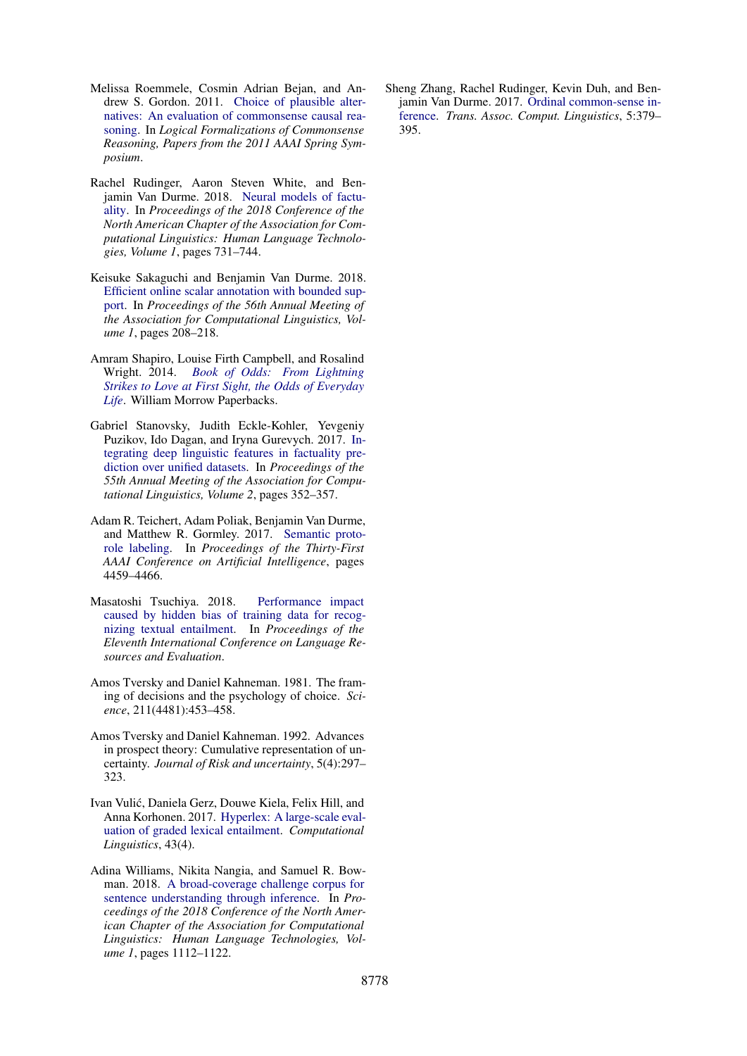- <span id="page-6-10"></span>Melissa Roemmele, Cosmin Adrian Bejan, and Andrew S. Gordon. 2011. [Choice of plausible alter](http://www.aaai.org/ocs/index.php/SSS/SSS11/paper/view/2418)[natives: An evaluation of commonsense causal rea](http://www.aaai.org/ocs/index.php/SSS/SSS11/paper/view/2418)[soning.](http://www.aaai.org/ocs/index.php/SSS/SSS11/paper/view/2418) In *Logical Formalizations of Commonsense Reasoning, Papers from the 2011 AAAI Spring Symposium*.
- <span id="page-6-8"></span>Rachel Rudinger, Aaron Steven White, and Benjamin Van Durme. 2018. [Neural models of factu](https://doi.org/10.18653/v1/n18-1067)[ality.](https://doi.org/10.18653/v1/n18-1067) In *Proceedings of the 2018 Conference of the North American Chapter of the Association for Computational Linguistics: Human Language Technologies, Volume 1*, pages 731–744.
- <span id="page-6-1"></span>Keisuke Sakaguchi and Benjamin Van Durme. 2018. [Efficient online scalar annotation with bounded sup](https://doi.org/10.18653/v1/P18-1020)[port.](https://doi.org/10.18653/v1/P18-1020) In *Proceedings of the 56th Annual Meeting of the Association for Computational Linguistics, Volume 1*, pages 208–218.
- <span id="page-6-11"></span>Amram Shapiro, Louise Firth Campbell, and Rosalind Wright. 2014. *[Book of Odds: From Lightning](https://books.google.com/books?id=Ayg0AgAAQBAJ) [Strikes to Love at First Sight, the Odds of Everyday](https://books.google.com/books?id=Ayg0AgAAQBAJ) [Life](https://books.google.com/books?id=Ayg0AgAAQBAJ)*. William Morrow Paperbacks.
- <span id="page-6-7"></span>Gabriel Stanovsky, Judith Eckle-Kohler, Yevgeniy Puzikov, Ido Dagan, and Iryna Gurevych. 2017. [In](https://doi.org/10.18653/v1/P17-2056)[tegrating deep linguistic features in factuality pre](https://doi.org/10.18653/v1/P17-2056)[diction over unified datasets.](https://doi.org/10.18653/v1/P17-2056) In *Proceedings of the 55th Annual Meeting of the Association for Computational Linguistics, Volume 2*, pages 352–357.
- <span id="page-6-9"></span>Adam R. Teichert, Adam Poliak, Benjamin Van Durme, and Matthew R. Gormley. 2017. [Semantic proto](http://aaai.org/ocs/index.php/AAAI/AAAI17/paper/view/14997)[role labeling.](http://aaai.org/ocs/index.php/AAAI/AAAI17/paper/view/14997) In *Proceedings of the Thirty-First AAAI Conference on Artificial Intelligence*, pages 4459–4466.
- <span id="page-6-4"></span>Masatoshi Tsuchiya. 2018. [Performance impact](http://www.lrec-conf.org/proceedings/lrec2018/summaries/786.html) [caused by hidden bias of training data for recog](http://www.lrec-conf.org/proceedings/lrec2018/summaries/786.html)[nizing textual entailment.](http://www.lrec-conf.org/proceedings/lrec2018/summaries/786.html) In *Proceedings of the Eleventh International Conference on Language Resources and Evaluation*.
- <span id="page-6-2"></span>Amos Tversky and Daniel Kahneman. 1981. The framing of decisions and the psychology of choice. *Science*, 211(4481):453–458.
- <span id="page-6-3"></span>Amos Tversky and Daniel Kahneman. 1992. Advances in prospect theory: Cumulative representation of uncertainty. *Journal of Risk and uncertainty*, 5(4):297– 323.
- <span id="page-6-6"></span>Ivan Vulic, Daniela Gerz, Douwe Kiela, Felix Hill, and ´ Anna Korhonen. 2017. [Hyperlex: A large-scale eval](https://doi.org/10.1162/COLI_a_00301)[uation of graded lexical entailment.](https://doi.org/10.1162/COLI_a_00301) *Computational Linguistics*, 43(4).
- <span id="page-6-0"></span>Adina Williams, Nikita Nangia, and Samuel R. Bowman. 2018. [A broad-coverage challenge corpus for](https://doi.org/10.18653/v1/n18-1101) [sentence understanding through inference.](https://doi.org/10.18653/v1/n18-1101) In *Proceedings of the 2018 Conference of the North American Chapter of the Association for Computational Linguistics: Human Language Technologies, Volume 1*, pages 1112–1122.

<span id="page-6-5"></span>Sheng Zhang, Rachel Rudinger, Kevin Duh, and Benjamin Van Durme. 2017. [Ordinal common-sense in](https://transacl.org/ojs/index.php/tacl/article/view/1082)[ference.](https://transacl.org/ojs/index.php/tacl/article/view/1082) *Trans. Assoc. Comput. Linguistics*, 5:379– 395.